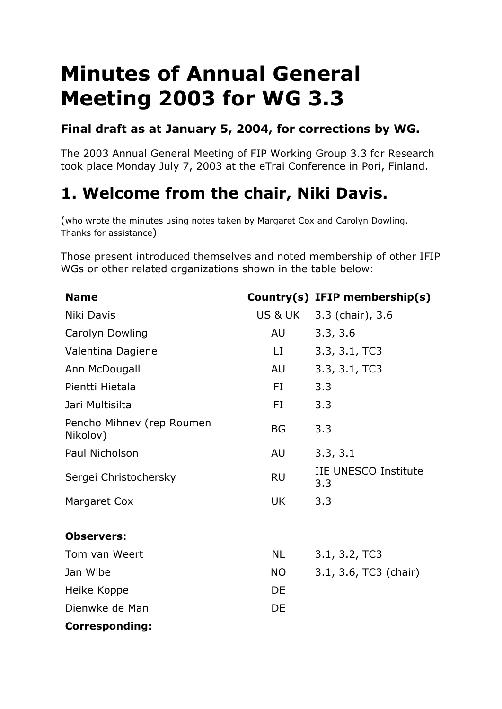# **Minutes of Annual General Meeting 2003 for WG 3.3**

#### **Final draft as at January 5, 2004, for corrections by WG.**

The 2003 Annual General Meeting of FIP Working Group 3.3 for Research took place Monday July 7, 2003 at the eTrai Conference in Pori, Finland.

# **1. Welcome from the chair, Niki Davis.**

(who wrote the minutes using notes taken by Margaret Cox and Carolyn Dowling. Thanks for assistance)

Those present introduced themselves and noted membership of other IFIP WGs or other related organizations shown in the table below:

| <b>Name</b>                           |           | Country(s) IFIP membership(s)      |  |
|---------------------------------------|-----------|------------------------------------|--|
| Niki Davis                            |           | US & UK 3.3 (chair), 3.6           |  |
| Carolyn Dowling                       | AU        | 3.3, 3.6                           |  |
| Valentina Dagiene                     | LI        | 3.3, 3.1, TC3                      |  |
| Ann McDougall                         | <b>AU</b> | 3.3, 3.1, TC3                      |  |
| Pientti Hietala                       | FI.       | 3.3                                |  |
| Jari Multisilta                       | FI.       | 3.3                                |  |
| Pencho Mihnev (rep Roumen<br>Nikolov) | <b>BG</b> | 3.3                                |  |
| Paul Nicholson                        | AU        | 3.3, 3.1                           |  |
| Sergei Christochersky                 | <b>RU</b> | <b>IIE UNESCO Institute</b><br>3.3 |  |
| <b>Margaret Cox</b>                   | UK        | 3.3                                |  |
| <b>Observers:</b>                     |           |                                    |  |
| Tom van Weert                         | <b>NL</b> | 3.1, 3.2, TC3                      |  |
| Jan Wibe                              | <b>NO</b> | 3.1, 3.6, TC3 (chair)              |  |
| Heike Koppe                           | DE        |                                    |  |
| Dienwke de Man                        | DE        |                                    |  |
| <b>Corresponding:</b>                 |           |                                    |  |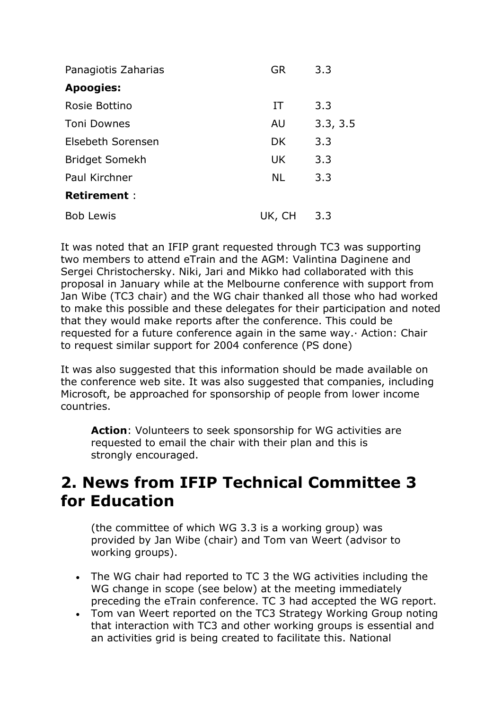| Panagiotis Zaharias   | GR        | 3.3      |
|-----------------------|-----------|----------|
| <b>Apoogies:</b>      |           |          |
| Rosie Bottino         | IT        | 3.3      |
| <b>Toni Downes</b>    | <b>AU</b> | 3.3, 3.5 |
| Elsebeth Sorensen     | <b>DK</b> | 3.3      |
| <b>Bridget Somekh</b> | <b>UK</b> | 3.3      |
| Paul Kirchner         | <b>NL</b> | 3.3      |
| <b>Retirement:</b>    |           |          |
| <b>Bob Lewis</b>      | UK, CH    | 3.3      |

It was noted that an IFIP grant requested through TC3 was supporting two members to attend eTrain and the AGM: Valintina Daginene and Sergei Christochersky. Niki, Jari and Mikko had collaborated with this proposal in January while at the Melbourne conference with support from Jan Wibe (TC3 chair) and the WG chair thanked all those who had worked to make this possible and these delegates for their participation and noted that they would make reports after the conference. This could be requested for a future conference again in the same way.· Action: Chair to request similar support for 2004 conference (PS done)

It was also suggested that this information should be made available on the conference web site. It was also suggested that companies, including Microsoft, be approached for sponsorship of people from lower income countries.

**Action**: Volunteers to seek sponsorship for WG activities are requested to email the chair with their plan and this is strongly encouraged.

### **2. News from IFIP Technical Committee 3 for Education**

(the committee of which WG 3.3 is a working group) was provided by Jan Wibe (chair) and Tom van Weert (advisor to working groups).

- The WG chair had reported to TC 3 the WG activities including the WG change in scope (see below) at the meeting immediately preceding the eTrain conference. TC 3 had accepted the WG report.
- Tom van Weert reported on the TC3 Strategy Working Group noting that interaction with TC3 and other working groups is essential and an activities grid is being created to facilitate this. National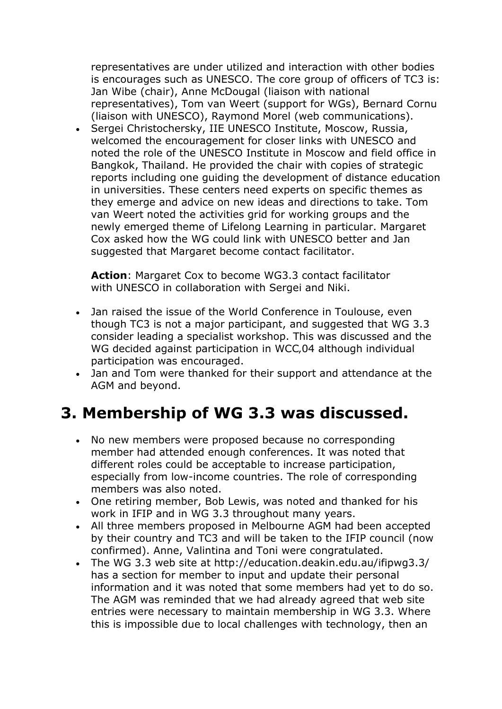representatives are under utilized and interaction with other bodies is encourages such as UNESCO. The core group of officers of TC3 is: Jan Wibe (chair), Anne McDougal (liaison with national representatives), Tom van Weert (support for WGs), Bernard Cornu (liaison with UNESCO), Raymond Morel (web communications).

• Sergei Christochersky, IIE UNESCO Institute, Moscow, Russia, welcomed the encouragement for closer links with UNESCO and noted the role of the UNESCO Institute in Moscow and field office in Bangkok, Thailand. He provided the chair with copies of strategic reports including one guiding the development of distance education in universities. These centers need experts on specific themes as they emerge and advice on new ideas and directions to take. Tom van Weert noted the activities grid for working groups and the newly emerged theme of Lifelong Learning in particular. Margaret Cox asked how the WG could link with UNESCO better and Jan suggested that Margaret become contact facilitator.

**Action**: Margaret Cox to become WG3.3 contact facilitator with UNESCO in collaboration with Sergei and Niki.

- Jan raised the issue of the World Conference in Toulouse, even though TC3 is not a major participant, and suggested that WG 3.3 consider leading a specialist workshop. This was discussed and the WG decided against participation in WCC,04 although individual participation was encouraged.
- Jan and Tom were thanked for their support and attendance at the AGM and beyond.

### **3. Membership of WG 3.3 was discussed.**

- No new members were proposed because no corresponding member had attended enough conferences. It was noted that different roles could be acceptable to increase participation, especially from low-income countries. The role of corresponding members was also noted.
- One retiring member, Bob Lewis, was noted and thanked for his work in IFIP and in WG 3.3 throughout many years.
- All three members proposed in Melbourne AGM had been accepted by their country and TC3 and will be taken to the IFIP council (now confirmed). Anne, Valintina and Toni were congratulated.
- The WG 3.3 web site at http://education.deakin.edu.au/ifipwg3.3/ has a section for member to input and update their personal information and it was noted that some members had yet to do so. The AGM was reminded that we had already agreed that web site entries were necessary to maintain membership in WG 3.3. Where this is impossible due to local challenges with technology, then an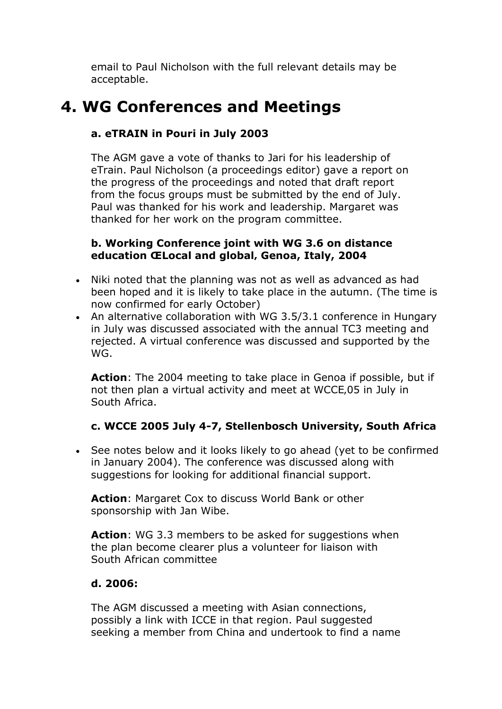email to Paul Nicholson with the full relevant details may be acceptable.

### **4. WG Conferences and Meetings**

#### **a. eTRAIN in Pouri in July 2003**

The AGM gave a vote of thanks to Jari for his leadership of eTrain. Paul Nicholson (a proceedings editor) gave a report on the progress of the proceedings and noted that draft report from the focus groups must be submitted by the end of July. Paul was thanked for his work and leadership. Margaret was thanked for her work on the program committee.

#### **b. Working Conference joint with WG 3.6 on distance education ŒLocal and global' Genoa, Italy, 2004**

- Niki noted that the planning was not as well as advanced as had been hoped and it is likely to take place in the autumn. (The time is now confirmed for early October)
- An alternative collaboration with WG 3.5/3.1 conference in Hungary in July was discussed associated with the annual TC3 meeting and rejected. A virtual conference was discussed and supported by the WG.

**Action**: The 2004 meeting to take place in Genoa if possible, but if not then plan a virtual activity and meet at WCCE,05 in July in South Africa.

#### **c. WCCE 2005 July 4-7, Stellenbosch University, South Africa**

• See notes below and it looks likely to go ahead (yet to be confirmed in January 2004). The conference was discussed along with suggestions for looking for additional financial support.

**Action**: Margaret Cox to discuss World Bank or other sponsorship with Jan Wibe.

**Action:** WG 3.3 members to be asked for suggestions when the plan become clearer plus a volunteer for liaison with South African committee

#### **d. 2006:**

The AGM discussed a meeting with Asian connections, possibly a link with ICCE in that region. Paul suggested seeking a member from China and undertook to find a name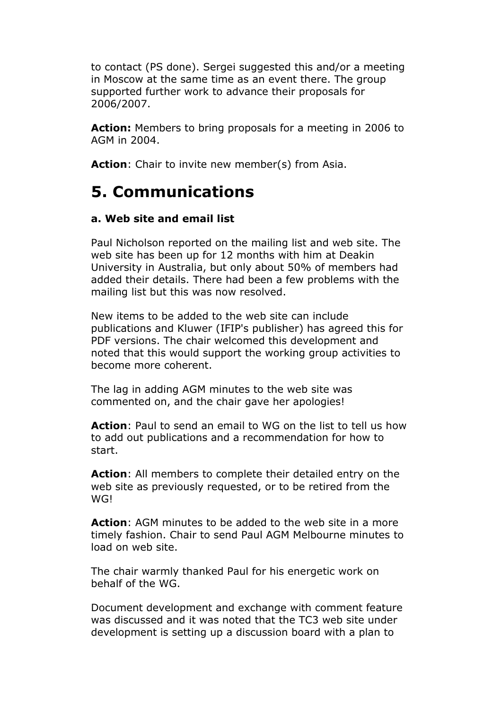to contact (PS done). Sergei suggested this and/or a meeting in Moscow at the same time as an event there. The group supported further work to advance their proposals for 2006/2007.

**Action:** Members to bring proposals for a meeting in 2006 to AGM in 2004.

Action: Chair to invite new member(s) from Asia.

### **5. Communications**

#### **a. Web site and email list**

Paul Nicholson reported on the mailing list and web site. The web site has been up for 12 months with him at Deakin University in Australia, but only about 50% of members had added their details. There had been a few problems with the mailing list but this was now resolved.

New items to be added to the web site can include publications and Kluwer (IFIP's publisher) has agreed this for PDF versions. The chair welcomed this development and noted that this would support the working group activities to become more coherent.

The lag in adding AGM minutes to the web site was commented on, and the chair gave her apologies!

**Action**: Paul to send an email to WG on the list to tell us how to add out publications and a recommendation for how to start.

**Action**: All members to complete their detailed entry on the web site as previously requested, or to be retired from the WG!

**Action**: AGM minutes to be added to the web site in a more timely fashion. Chair to send Paul AGM Melbourne minutes to load on web site.

The chair warmly thanked Paul for his energetic work on behalf of the WG.

Document development and exchange with comment feature was discussed and it was noted that the TC3 web site under development is setting up a discussion board with a plan to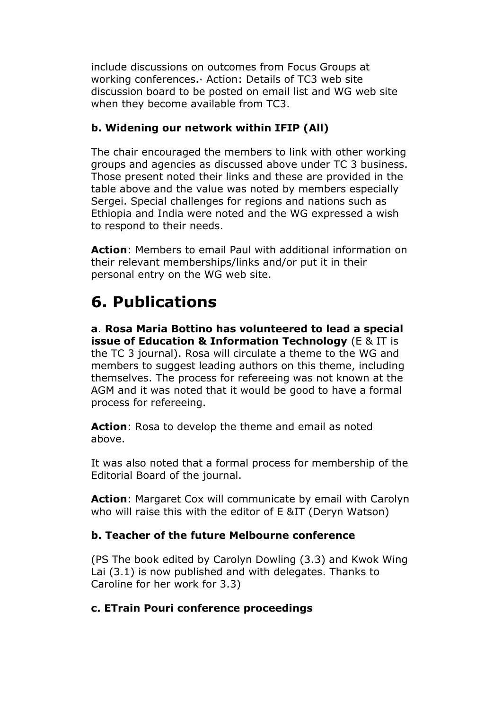include discussions on outcomes from Focus Groups at working conferences.· Action: Details of TC3 web site discussion board to be posted on email list and WG web site when they become available from TC3.

#### **b. Widening our network within IFIP (All)**

The chair encouraged the members to link with other working groups and agencies as discussed above under TC 3 business. Those present noted their links and these are provided in the table above and the value was noted by members especially Sergei. Special challenges for regions and nations such as Ethiopia and India were noted and the WG expressed a wish to respond to their needs.

**Action**: Members to email Paul with additional information on their relevant memberships/links and/or put it in their personal entry on the WG web site.

### **6. Publications**

**a**. **Rosa Maria Bottino has volunteered to lead a special issue of Education & Information Technology** (E & IT is the TC 3 journal). Rosa will circulate a theme to the WG and members to suggest leading authors on this theme, including themselves. The process for refereeing was not known at the AGM and it was noted that it would be good to have a formal process for refereeing.

**Action**: Rosa to develop the theme and email as noted above.

It was also noted that a formal process for membership of the Editorial Board of the journal.

**Action**: Margaret Cox will communicate by email with Carolyn who will raise this with the editor of E &IT (Deryn Watson)

#### **b. Teacher of the future Melbourne conference**

(PS The book edited by Carolyn Dowling (3.3) and Kwok Wing Lai (3.1) is now published and with delegates. Thanks to Caroline for her work for 3.3)

#### **c. ETrain Pouri conference proceedings**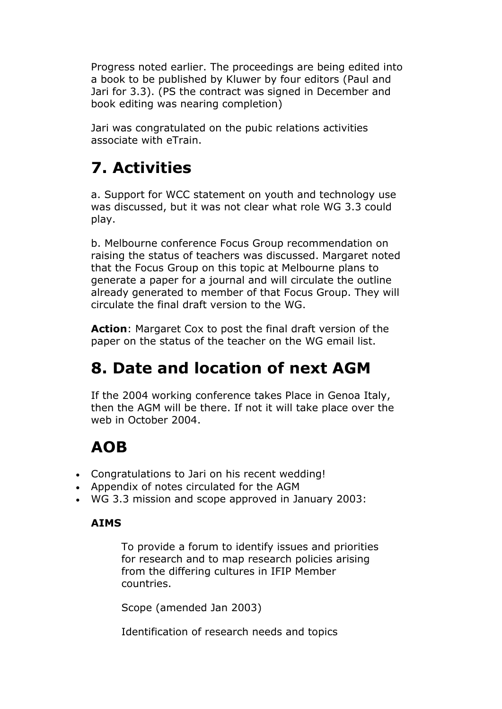Progress noted earlier. The proceedings are being edited into a book to be published by Kluwer by four editors (Paul and Jari for 3.3). (PS the contract was signed in December and book editing was nearing completion)

Jari was congratulated on the pubic relations activities associate with eTrain.

# **7. Activities**

a. Support for WCC statement on youth and technology use was discussed, but it was not clear what role WG 3.3 could play.

b. Melbourne conference Focus Group recommendation on raising the status of teachers was discussed. Margaret noted that the Focus Group on this topic at Melbourne plans to generate a paper for a journal and will circulate the outline already generated to member of that Focus Group. They will circulate the final draft version to the WG.

**Action**: Margaret Cox to post the final draft version of the paper on the status of the teacher on the WG email list.

## **8. Date and location of next AGM**

If the 2004 working conference takes Place in Genoa Italy, then the AGM will be there. If not it will take place over the web in October 2004.

# **AOB**

- Congratulations to Jari on his recent wedding!
- Appendix of notes circulated for the AGM
- WG 3.3 mission and scope approved in January 2003:

#### **AIMS**

To provide a forum to identify issues and priorities for research and to map research policies arising from the differing cultures in IFIP Member countries.

Scope (amended Jan 2003)

Identification of research needs and topics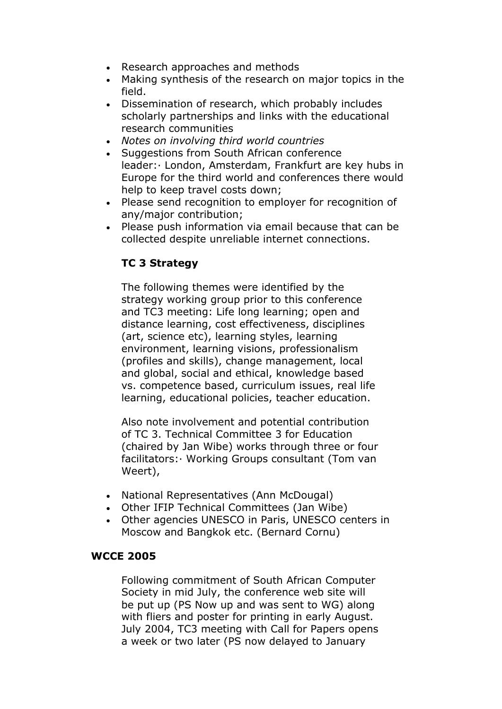- Research approaches and methods
- Making synthesis of the research on major topics in the field.
- Dissemination of research, which probably includes scholarly partnerships and links with the educational research communities
- *Notes on involving third world countries*
- Suggestions from South African conference leader:· London, Amsterdam, Frankfurt are key hubs in Europe for the third world and conferences there would help to keep travel costs down;
- Please send recognition to employer for recognition of any/major contribution;
- Please push information via email because that can be collected despite unreliable internet connections.

#### **TC 3 Strategy**

The following themes were identified by the strategy working group prior to this conference and TC3 meeting: Life long learning; open and distance learning, cost effectiveness, disciplines (art, science etc), learning styles, learning environment, learning visions, professionalism (profiles and skills), change management, local and global, social and ethical, knowledge based vs. competence based, curriculum issues, real life learning, educational policies, teacher education.

Also note involvement and potential contribution of TC 3. Technical Committee 3 for Education (chaired by Jan Wibe) works through three or four facilitators:· Working Groups consultant (Tom van Weert),

- National Representatives (Ann McDougal)
- Other IFIP Technical Committees (Jan Wibe)
- Other agencies UNESCO in Paris, UNESCO centers in Moscow and Bangkok etc. (Bernard Cornu)

#### **WCCE 2005**

Following commitment of South African Computer Society in mid July, the conference web site will be put up (PS Now up and was sent to WG) along with fliers and poster for printing in early August. July 2004, TC3 meeting with Call for Papers opens a week or two later (PS now delayed to January